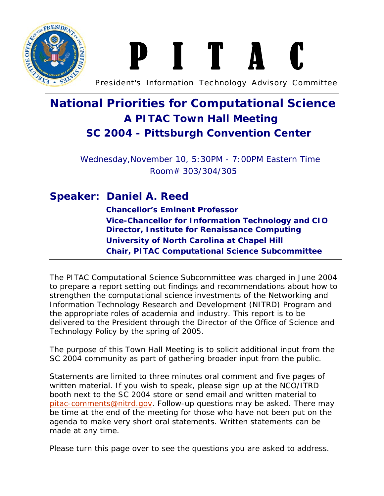

# **P I** T

President's Information Technology Advisory Committee

### **National Priorities for Computational Science A PITAC Town Hall Meeting SC 2004 - Pittsburgh Convention Center**

Wednesday,November 10, 5:30PM - 7:00PM Eastern Time Room# 303/304/305

#### **Speaker: Daniel A. Reed**

**Chancellor's Eminent Professor Vice-Chancellor for Information Technology and CIO Director, Institute for Renaissance Computing University of North Carolina at Chapel Hill Chair, PITAC Computational Science Subcommittee**

The PITAC Computational Science Subcommittee was charged in June 2004 to prepare a report setting out findings and recommendations about how to strengthen the computational science investments of the Networking and Information Technology Research and Development (NITRD) Program and the appropriate roles of academia and industry. This report is to be delivered to the President through the Director of the Office of Science and Technology Policy by the spring of 2005.

The purpose of this Town Hall Meeting is to solicit additional input from the SC 2004 community as part of gathering broader input from the public.

Statements are limited to three minutes oral comment and five pages of written material. If you wish to speak, please sign up at the NCO/ITRD booth next to the SC 2004 store or send email and written material to pitac-comments@nitrd.gov. Follow-up questions may be asked. There may be time at the end of the meeting for those who have not been put on the agenda to make very short oral statements. Written statements can be made at any time.

Please turn this page over to see the questions you are asked to address.